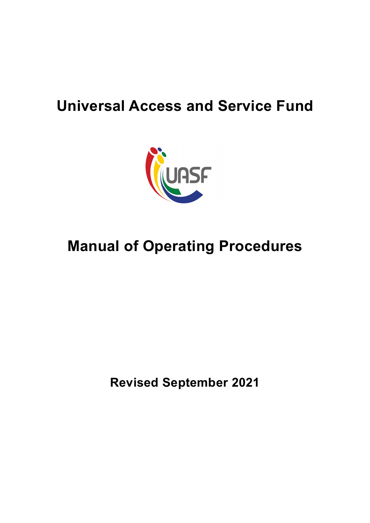# **Universal Access and Service Fund**



# **Manual of Operating Procedures**

**Revised September 2021**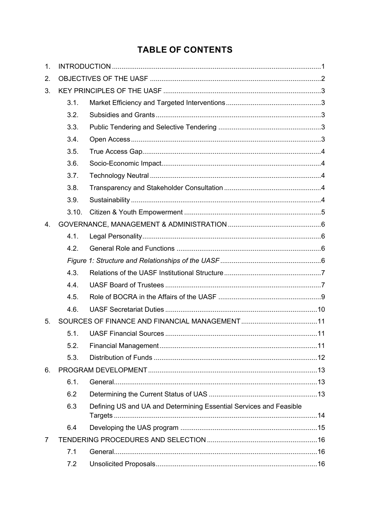## **TABLE OF CONTENTS**

| 1.          |       |                                                                    |  |  |
|-------------|-------|--------------------------------------------------------------------|--|--|
| 2.          |       |                                                                    |  |  |
| 3.          |       |                                                                    |  |  |
|             | 3.1.  |                                                                    |  |  |
|             | 3.2.  |                                                                    |  |  |
|             | 3.3.  |                                                                    |  |  |
|             | 3.4.  |                                                                    |  |  |
|             | 3.5.  |                                                                    |  |  |
|             | 3.6.  |                                                                    |  |  |
|             | 3.7.  |                                                                    |  |  |
|             | 3.8.  |                                                                    |  |  |
|             | 3.9.  |                                                                    |  |  |
|             | 3.10. |                                                                    |  |  |
| $4_{\cdot}$ |       |                                                                    |  |  |
|             | 4.1.  |                                                                    |  |  |
|             | 4.2.  |                                                                    |  |  |
|             |       |                                                                    |  |  |
|             | 4.3.  |                                                                    |  |  |
|             | 4.4.  |                                                                    |  |  |
|             | 4.5.  |                                                                    |  |  |
|             | 4.6.  |                                                                    |  |  |
| 5.          |       |                                                                    |  |  |
|             | 5.1.  |                                                                    |  |  |
|             | 5.2.  |                                                                    |  |  |
|             | 5.3.  |                                                                    |  |  |
| 6.          |       |                                                                    |  |  |
|             | 6.1.  |                                                                    |  |  |
|             | 6.2   |                                                                    |  |  |
|             | 6.3   | Defining US and UA and Determining Essential Services and Feasible |  |  |
|             | 6.4   |                                                                    |  |  |
| 7           |       |                                                                    |  |  |
|             | 7.1   |                                                                    |  |  |
|             | 7.2   |                                                                    |  |  |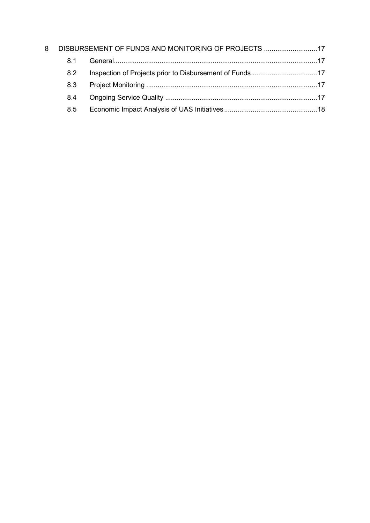| 8 | DISBURSEMENT OF FUNDS AND MONITORING OF PROJECTS 17 |  |  |
|---|-----------------------------------------------------|--|--|
|   | 81                                                  |  |  |
|   | 82                                                  |  |  |
|   | 8.3                                                 |  |  |
|   | 8.4                                                 |  |  |
|   | 8.5                                                 |  |  |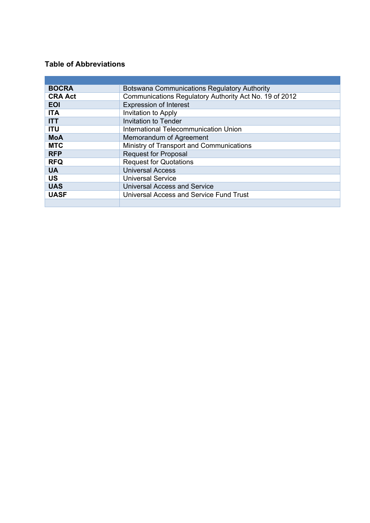#### **Table of Abbreviations**

| <b>BOCRA</b>   | Botswana Communications Regulatory Authority           |
|----------------|--------------------------------------------------------|
| <b>CRA Act</b> | Communications Regulatory Authority Act No. 19 of 2012 |
| <b>EOI</b>     | <b>Expression of Interest</b>                          |
| <b>ITA</b>     | Invitation to Apply                                    |
| <b>ITT</b>     | <b>Invitation to Tender</b>                            |
| <b>ITU</b>     | International Telecommunication Union                  |
| <b>MoA</b>     | Memorandum of Agreement                                |
| <b>MTC</b>     | Ministry of Transport and Communications               |
| <b>RFP</b>     | <b>Request for Proposal</b>                            |
| <b>RFQ</b>     | <b>Request for Quotations</b>                          |
| <b>UA</b>      | <b>Universal Access</b>                                |
| <b>US</b>      | <b>Universal Service</b>                               |
| <b>UAS</b>     | <b>Universal Access and Service</b>                    |
| <b>UASF</b>    | Universal Access and Service Fund Trust                |
|                |                                                        |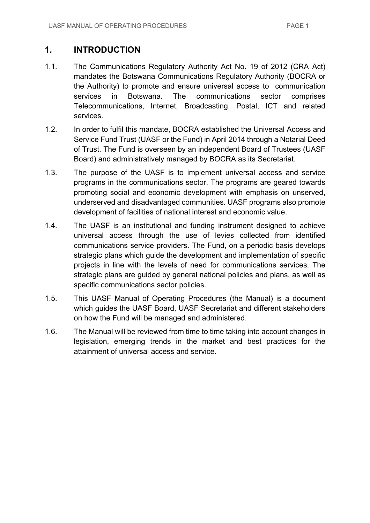## **1. INTRODUCTION**

- 1.1. The Communications Regulatory Authority Act No. 19 of 2012 (CRA Act) mandates the Botswana Communications Regulatory Authority (BOCRA or the Authority) to promote and ensure universal access to communication services in Botswana. The communications sector comprises Telecommunications, Internet, Broadcasting, Postal, ICT and related services.
- 1.2. In order to fulfil this mandate, BOCRA established the Universal Access and Service Fund Trust (UASF or the Fund) in April 2014 through a Notarial Deed of Trust. The Fund is overseen by an independent Board of Trustees (UASF Board) and administratively managed by BOCRA as its Secretariat.
- 1.3. The purpose of the UASF is to implement universal access and service programs in the communications sector. The programs are geared towards promoting social and economic development with emphasis on unserved, underserved and disadvantaged communities. UASF programs also promote development of facilities of national interest and economic value.
- 1.4. The UASF is an institutional and funding instrument designed to achieve universal access through the use of levies collected from identified communications service providers. The Fund, on a periodic basis develops strategic plans which guide the development and implementation of specific projects in line with the levels of need for communications services. The strategic plans are guided by general national policies and plans, as well as specific communications sector policies.
- 1.5. This UASF Manual of Operating Procedures (the Manual) is a document which guides the UASF Board, UASF Secretariat and different stakeholders on how the Fund will be managed and administered.
- 1.6. The Manual will be reviewed from time to time taking into account changes in legislation, emerging trends in the market and best practices for the attainment of universal access and service.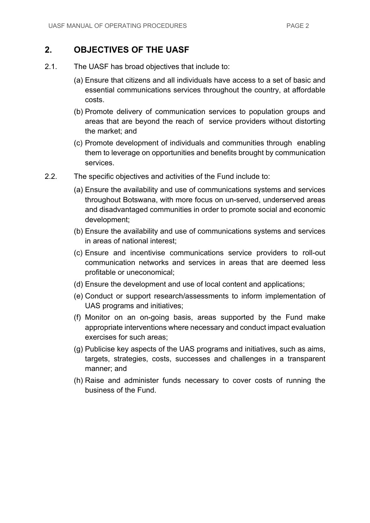## **2. OBJECTIVES OF THE UASF**

- 2.1. The UASF has broad objectives that include to:
	- (a) Ensure that citizens and all individuals have access to a set of basic and essential communications services throughout the country, at affordable costs.
	- (b) Promote delivery of communication services to population groups and areas that are beyond the reach of service providers without distorting the market; and
	- (c) Promote development of individuals and communities through enabling them to leverage on opportunities and benefits brought by communication services.
- 2.2. The specific objectives and activities of the Fund include to:
	- (a) Ensure the availability and use of communications systems and services throughout Botswana, with more focus on un-served, underserved areas and disadvantaged communities in order to promote social and economic development;
	- (b) Ensure the availability and use of communications systems and services in areas of national interest;
	- (c) Ensure and incentivise communications service providers to roll-out communication networks and services in areas that are deemed less profitable or uneconomical;
	- (d) Ensure the development and use of local content and applications;
	- (e) Conduct or support research/assessments to inform implementation of UAS programs and initiatives;
	- (f) Monitor on an on-going basis, areas supported by the Fund make appropriate interventions where necessary and conduct impact evaluation exercises for such areas;
	- (g) Publicise key aspects of the UAS programs and initiatives, such as aims, targets, strategies, costs, successes and challenges in a transparent manner; and
	- (h) Raise and administer funds necessary to cover costs of running the business of the Fund.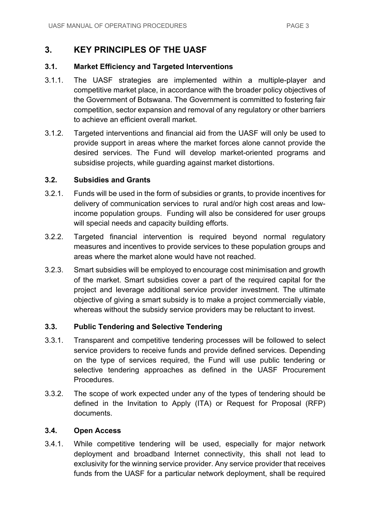## **3. KEY PRINCIPLES OF THE UASF**

#### **3.1. Market Efficiency and Targeted Interventions**

- 3.1.1. The UASF strategies are implemented within a multiple-player and competitive market place, in accordance with the broader policy objectives of the Government of Botswana. The Government is committed to fostering fair competition, sector expansion and removal of any regulatory or other barriers to achieve an efficient overall market.
- 3.1.2. Targeted interventions and financial aid from the UASF will only be used to provide support in areas where the market forces alone cannot provide the desired services. The Fund will develop market-oriented programs and subsidise projects, while guarding against market distortions.

#### **3.2. Subsidies and Grants**

- 3.2.1. Funds will be used in the form of subsidies or grants, to provide incentives for delivery of communication services to rural and/or high cost areas and lowincome population groups. Funding will also be considered for user groups will special needs and capacity building efforts.
- 3.2.2. Targeted financial intervention is required beyond normal regulatory measures and incentives to provide services to these population groups and areas where the market alone would have not reached.
- 3.2.3. Smart subsidies will be employed to encourage cost minimisation and growth of the market. Smart subsidies cover a part of the required capital for the project and leverage additional service provider investment. The ultimate objective of giving a smart subsidy is to make a project commercially viable, whereas without the subsidy service providers may be reluctant to invest.

#### **3.3. Public Tendering and Selective Tendering**

- 3.3.1. Transparent and competitive tendering processes will be followed to select service providers to receive funds and provide defined services. Depending on the type of services required, the Fund will use public tendering or selective tendering approaches as defined in the UASF Procurement Procedures.
- 3.3.2. The scope of work expected under any of the types of tendering should be defined in the Invitation to Apply (ITA) or Request for Proposal (RFP) documents.

#### **3.4. Open Access**

3.4.1. While competitive tendering will be used, especially for major network deployment and broadband Internet connectivity, this shall not lead to exclusivity for the winning service provider. Any service provider that receives funds from the UASF for a particular network deployment, shall be required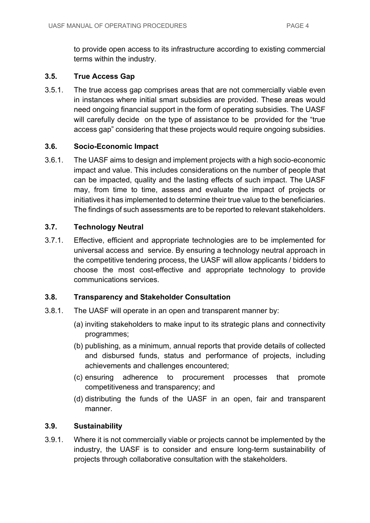to provide open access to its infrastructure according to existing commercial terms within the industry.

#### **3.5. True Access Gap**

3.5.1. The true access gap comprises areas that are not commercially viable even in instances where initial smart subsidies are provided. These areas would need ongoing financial support in the form of operating subsidies. The UASF will carefully decide on the type of assistance to be provided for the "true access gap" considering that these projects would require ongoing subsidies.

#### **3.6. Socio-Economic Impact**

3.6.1. The UASF aims to design and implement projects with a high socio-economic impact and value. This includes considerations on the number of people that can be impacted, quality and the lasting effects of such impact. The UASF may, from time to time, assess and evaluate the impact of projects or initiatives it has implemented to determine their true value to the beneficiaries. The findings of such assessments are to be reported to relevant stakeholders.

#### **3.7. Technology Neutral**

3.7.1. Effective, efficient and appropriate technologies are to be implemented for universal access and service. By ensuring a technology neutral approach in the competitive tendering process, the UASF will allow applicants / bidders to choose the most cost-effective and appropriate technology to provide communications services.

#### **3.8. Transparency and Stakeholder Consultation**

- 3.8.1. The UASF will operate in an open and transparent manner by:
	- (a) inviting stakeholders to make input to its strategic plans and connectivity programmes;
	- (b) publishing, as a minimum, annual reports that provide details of collected and disbursed funds, status and performance of projects, including achievements and challenges encountered;
	- (c) ensuring adherence to procurement processes that promote competitiveness and transparency; and
	- (d) distributing the funds of the UASF in an open, fair and transparent manner.

#### **3.9. Sustainability**

3.9.1. Where it is not commercially viable or projects cannot be implemented by the industry, the UASF is to consider and ensure long-term sustainability of projects through collaborative consultation with the stakeholders.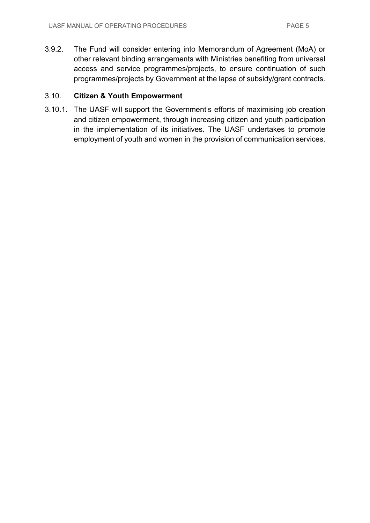3.9.2. The Fund will consider entering into Memorandum of Agreement (MoA) or other relevant binding arrangements with Ministries benefiting from universal access and service programmes/projects, to ensure continuation of such programmes/projects by Government at the lapse of subsidy/grant contracts.

#### 3.10. **Citizen & Youth Empowerment**

3.10.1. The UASF will support the Government's efforts of maximising job creation and citizen empowerment, through increasing citizen and youth participation in the implementation of its initiatives. The UASF undertakes to promote employment of youth and women in the provision of communication services.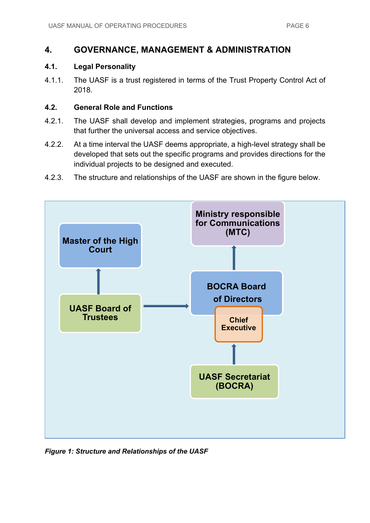## **4. GOVERNANCE, MANAGEMENT & ADMINISTRATION**

#### **4.1. Legal Personality**

4.1.1. The UASF is a trust registered in terms of the Trust Property Control Act of 2018.

#### **4.2. General Role and Functions**

- 4.2.1. The UASF shall develop and implement strategies, programs and projects that further the universal access and service objectives.
- 4.2.2. At a time interval the UASF deems appropriate, a high-level strategy shall be developed that sets out the specific programs and provides directions for the individual projects to be designed and executed.
- 4.2.3. The structure and relationships of the UASF are shown in the figure below.



*Figure 1: Structure and Relationships of the UASF*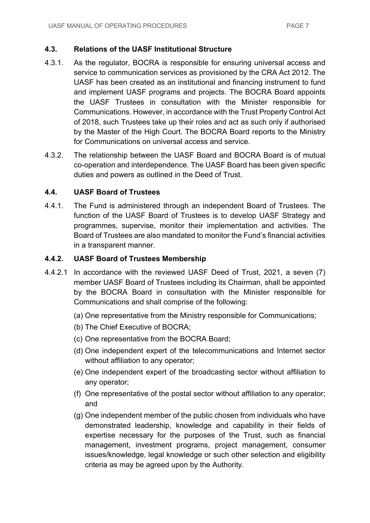#### **4.3. Relations of the UASF Institutional Structure**

- 4.3.1. As the regulator, BOCRA is responsible for ensuring universal access and service to communication services as provisioned by the CRA Act 2012. The UASF has been created as an institutional and financing instrument to fund and implement UASF programs and projects. The BOCRA Board appoints the UASF Trustees in consultation with the Minister responsible for Communications. However, in accordance with the Trust Property Control Act of 2018, such Trustees take up their roles and act as such only if authorised by the Master of the High Court. The BOCRA Board reports to the Ministry for Communications on universal access and service.
- 4.3.2. The relationship between the UASF Board and BOCRA Board is of mutual co-operation and interdependence. The UASF Board has been given specific duties and powers as outlined in the Deed of Trust.

#### **4.4. UASF Board of Trustees**

4.4.1. The Fund is administered through an independent Board of Trustees. The function of the UASF Board of Trustees is to develop UASF Strategy and programmes, supervise, monitor their implementation and activities. The Board of Trustees are also mandated to monitor the Fund's financial activities in a transparent manner.

#### **4.4.2. UASF Board of Trustees Membership**

- 4.4.2.1 In accordance with the reviewed UASF Deed of Trust, 2021, a seven (7) member UASF Board of Trustees including its Chairman, shall be appointed by the BOCRA Board in consultation with the Minister responsible for Communications and shall comprise of the following:
	- (a) One representative from the Ministry responsible for Communications;
	- (b) The Chief Executive of BOCRA;
	- (c) One representative from the BOCRA Board;
	- (d) One independent expert of the telecommunications and Internet sector without affiliation to any operator;
	- (e) One independent expert of the broadcasting sector without affiliation to any operator;
	- (f) One representative of the postal sector without affiliation to any operator; and
	- (g) One independent member of the public chosen from individuals who have demonstrated leadership, knowledge and capability in their fields of expertise necessary for the purposes of the Trust, such as financial management, investment programs, project management, consumer issues/knowledge, legal knowledge or such other selection and eligibility criteria as may be agreed upon by the Authority.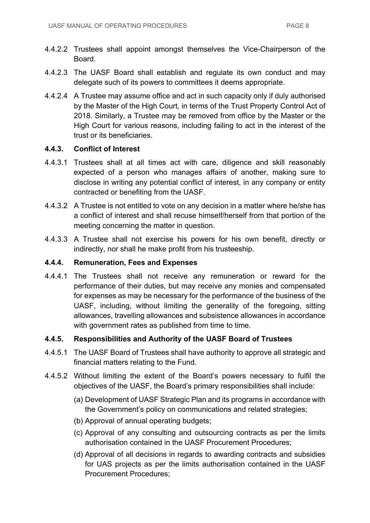- 4.4.2.2 Trustees shall appoint amongst themselves the Vice-Chairperson of the Board.
- 4.4.2.3 The UASF Board shall establish and regulate its own conduct and may delegate such of its powers to committees it deems appropriate.
- 4.4.2.4 A Trustee may assume office and act in such capacity only if duly authorised by the Master of the High Court, in terms of the Trust Property Control Act of 2018. Similarly, a Trustee may be removed from office by the Master or the High Court for various reasons, including failing to act in the interest of the trust or its beneficiaries.

#### **4.4.3. Conflict of Interest**

- 4.4.3.1 Trustees shall at all times act with care, diligence and skill reasonably expected of a person who manages affairs of another, making sure to disclose in writing any potential conflict of interest, in any company or entity contracted or benefiting from the UASF.
- 4.4.3.2 A Trustee is not entitled to vote on any decision in a matter where he/she has a conflict of interest and shall recuse himself/herself from that portion of the meeting concerning the matter in question.
- 4.4.3.3 A Trustee shall not exercise his powers for his own benefit, directly or indirectly, nor shall he make profit from his trusteeship.

#### **4.4.4. Remuneration, Fees and Expenses**

4.4.4.1 The Trustees shall not receive any remuneration or reward for the performance of their duties, but may receive any monies and compensated for expenses as may be necessary for the performance of the business of the UASF, including, without limiting the generality of the foregoing, sitting allowances, travelling allowances and subsistence allowances in accordance with government rates as published from time to time.

#### **4.4.5. Responsibilities and Authority of the UASF Board of Trustees**

- 4.4.5.1 The UASF Board of Trustees shall have authority to approve all strategic and financial matters relating to the Fund.
- 4.4.5.2 Without limiting the extent of the Board's powers necessary to fulfil the objectives of the UASF, the Board's primary responsibilities shall include:
	- (a) Development of UASF Strategic Plan and its programs in accordance with the Government's policy on communications and related strategies;
	- (b) Approval of annual operating budgets;
	- (c) Approval of any consulting and outsourcing contracts as per the limits authorisation contained in the UASF Procurement Procedures;
	- (d) Approval of all decisions in regards to awarding contracts and subsidies for UAS projects as per the limits authorisation contained in the UASF Procurement Procedures;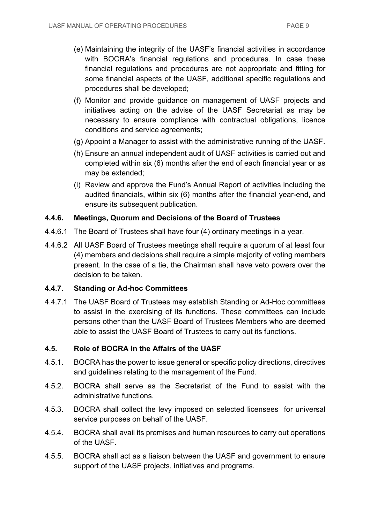- (e) Maintaining the integrity of the UASF's financial activities in accordance with BOCRA's financial regulations and procedures. In case these financial regulations and procedures are not appropriate and fitting for some financial aspects of the UASF, additional specific regulations and procedures shall be developed;
- (f) Monitor and provide guidance on management of UASF projects and initiatives acting on the advise of the UASF Secretariat as may be necessary to ensure compliance with contractual obligations, licence conditions and service agreements;
- (g) Appoint a Manager to assist with the administrative running of the UASF.
- (h) Ensure an annual independent audit of UASF activities is carried out and completed within six (6) months after the end of each financial year or as may be extended;
- (i) Review and approve the Fund's Annual Report of activities including the audited financials, within six (6) months after the financial year-end, and ensure its subsequent publication.

#### **4.4.6. Meetings, Quorum and Decisions of the Board of Trustees**

- 4.4.6.1 The Board of Trustees shall have four (4) ordinary meetings in a year.
- 4.4.6.2 All UASF Board of Trustees meetings shall require a quorum of at least four (4) members and decisions shall require a simple majority of voting members present. In the case of a tie, the Chairman shall have veto powers over the decision to be taken.

#### **4.4.7. Standing or Ad-hoc Committees**

4.4.7.1 The UASF Board of Trustees may establish Standing or Ad-Hoc committees to assist in the exercising of its functions. These committees can include persons other than the UASF Board of Trustees Members who are deemed able to assist the UASF Board of Trustees to carry out its functions.

#### **4.5. Role of BOCRA in the Affairs of the UASF**

- 4.5.1. BOCRA has the power to issue general or specific policy directions, directives and guidelines relating to the management of the Fund.
- 4.5.2. BOCRA shall serve as the Secretariat of the Fund to assist with the administrative functions.
- 4.5.3. BOCRA shall collect the levy imposed on selected licensees for universal service purposes on behalf of the UASF.
- 4.5.4. BOCRA shall avail its premises and human resources to carry out operations of the UASF.
- 4.5.5. BOCRA shall act as a liaison between the UASF and government to ensure support of the UASF projects, initiatives and programs.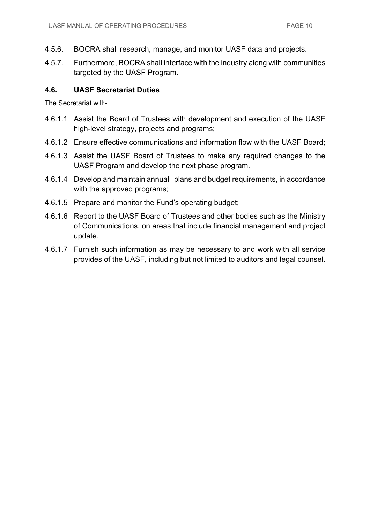- 4.5.6. BOCRA shall research, manage, and monitor UASF data and projects.
- 4.5.7. Furthermore, BOCRA shall interface with the industry along with communities targeted by the UASF Program.

#### **4.6. UASF Secretariat Duties**

The Secretariat will:-

- 4.6.1.1 Assist the Board of Trustees with development and execution of the UASF high-level strategy, projects and programs;
- 4.6.1.2 Ensure effective communications and information flow with the UASF Board;
- 4.6.1.3 Assist the UASF Board of Trustees to make any required changes to the UASF Program and develop the next phase program.
- 4.6.1.4 Develop and maintain annual plans and budget requirements, in accordance with the approved programs;
- 4.6.1.5 Prepare and monitor the Fund's operating budget;
- 4.6.1.6 Report to the UASF Board of Trustees and other bodies such as the Ministry of Communications, on areas that include financial management and project update.
- 4.6.1.7 Furnish such information as may be necessary to and work with all service provides of the UASF, including but not limited to auditors and legal counsel.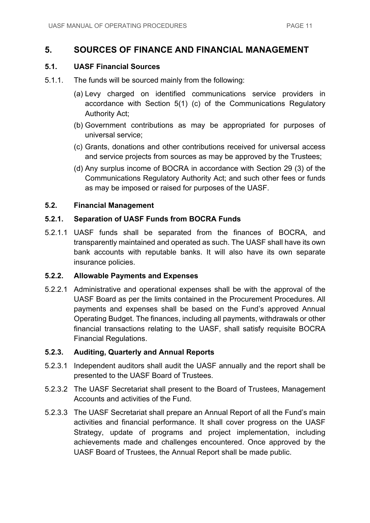### **5. SOURCES OF FINANCE AND FINANCIAL MANAGEMENT**

#### **5.1. UASF Financial Sources**

- 5.1.1. The funds will be sourced mainly from the following:
	- (a) Levy charged on identified communications service providers in accordance with Section 5(1) (c) of the Communications Regulatory Authority Act;
	- (b) Government contributions as may be appropriated for purposes of universal service;
	- (c) Grants, donations and other contributions received for universal access and service projects from sources as may be approved by the Trustees;
	- (d) Any surplus income of BOCRA in accordance with Section 29 (3) of the Communications Regulatory Authority Act; and such other fees or funds as may be imposed or raised for purposes of the UASF.

#### **5.2. Financial Management**

#### **5.2.1. Separation of UASF Funds from BOCRA Funds**

5.2.1.1 UASF funds shall be separated from the finances of BOCRA, and transparently maintained and operated as such. The UASF shall have its own bank accounts with reputable banks. It will also have its own separate insurance policies.

#### **5.2.2. Allowable Payments and Expenses**

5.2.2.1 Administrative and operational expenses shall be with the approval of the UASF Board as per the limits contained in the Procurement Procedures. All payments and expenses shall be based on the Fund's approved Annual Operating Budget. The finances, including all payments, withdrawals or other financial transactions relating to the UASF, shall satisfy requisite BOCRA Financial Regulations.

#### **5.2.3. Auditing, Quarterly and Annual Reports**

- 5.2.3.1 Independent auditors shall audit the UASF annually and the report shall be presented to the UASF Board of Trustees.
- 5.2.3.2 The UASF Secretariat shall present to the Board of Trustees, Management Accounts and activities of the Fund.
- 5.2.3.3 The UASF Secretariat shall prepare an Annual Report of all the Fund's main activities and financial performance. It shall cover progress on the UASF Strategy, update of programs and project implementation, including achievements made and challenges encountered. Once approved by the UASF Board of Trustees, the Annual Report shall be made public.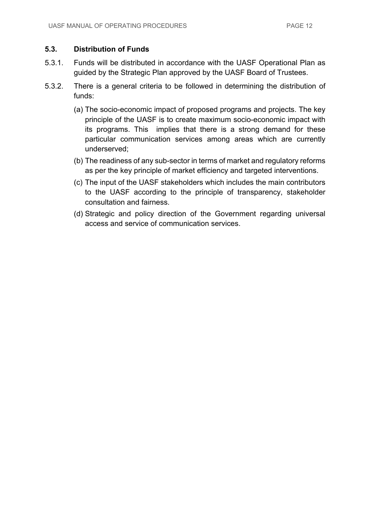#### **5.3. Distribution of Funds**

- 5.3.1. Funds will be distributed in accordance with the UASF Operational Plan as guided by the Strategic Plan approved by the UASF Board of Trustees.
- 5.3.2. There is a general criteria to be followed in determining the distribution of funds:
	- (a) The socio-economic impact of proposed programs and projects. The key principle of the UASF is to create maximum socio-economic impact with its programs. This implies that there is a strong demand for these particular communication services among areas which are currently underserved;
	- (b) The readiness of any sub-sector in terms of market and regulatory reforms as per the key principle of market efficiency and targeted interventions.
	- (c) The input of the UASF stakeholders which includes the main contributors to the UASF according to the principle of transparency, stakeholder consultation and fairness.
	- (d) Strategic and policy direction of the Government regarding universal access and service of communication services.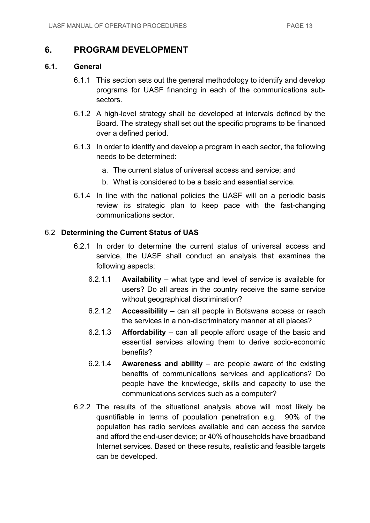## **6. PROGRAM DEVELOPMENT**

#### **6.1. General**

- 6.1.1 This section sets out the general methodology to identify and develop programs for UASF financing in each of the communications subsectors.
- 6.1.2 A high-level strategy shall be developed at intervals defined by the Board. The strategy shall set out the specific programs to be financed over a defined period.
- 6.1.3 In order to identify and develop a program in each sector, the following needs to be determined:
	- a. The current status of universal access and service; and
	- b. What is considered to be a basic and essential service.
- 6.1.4 In line with the national policies the UASF will on a periodic basis review its strategic plan to keep pace with the fast-changing communications sector.

#### 6.2 **Determining the Current Status of UAS**

- 6.2.1 In order to determine the current status of universal access and service, the UASF shall conduct an analysis that examines the following aspects:
	- 6.2.1.1 **Availability** what type and level of service is available for users? Do all areas in the country receive the same service without geographical discrimination?
	- 6.2.1.2 **Accessibility** can all people in Botswana access or reach the services in a non-discriminatory manner at all places?
	- 6.2.1.3 **Affordability** can all people afford usage of the basic and essential services allowing them to derive socio-economic benefits?
	- 6.2.1.4 **Awareness and ability** are people aware of the existing benefits of communications services and applications? Do people have the knowledge, skills and capacity to use the communications services such as a computer?
- 6.2.2 The results of the situational analysis above will most likely be quantifiable in terms of population penetration e.g. 90% of the population has radio services available and can access the service and afford the end-user device; or 40% of households have broadband Internet services. Based on these results, realistic and feasible targets can be developed.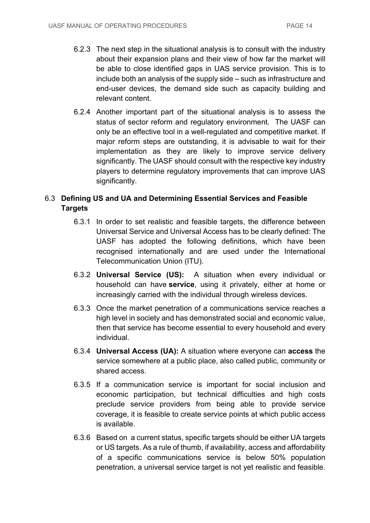- 6.2.3 The next step in the situational analysis is to consult with the industry about their expansion plans and their view of how far the market will be able to close identified gaps in UAS service provision. This is to include both an analysis of the supply side – such as infrastructure and end-user devices, the demand side such as capacity building and relevant content.
- 6.2.4 Another important part of the situational analysis is to assess the status of sector reform and regulatory environment. The UASF can only be an effective tool in a well-regulated and competitive market. If major reform steps are outstanding, it is advisable to wait for their implementation as they are likely to improve service delivery significantly. The UASF should consult with the respective key industry players to determine regulatory improvements that can improve UAS significantly.

## 6.3 **Defining US and UA and Determining Essential Services and Feasible Targets**

- 6.3.1 In order to set realistic and feasible targets, the difference between Universal Service and Universal Access has to be clearly defined: The UASF has adopted the following definitions, which have been recognised internationally and are used under the International Telecommunication Union (ITU).
- 6.3.2 **Universal Service (US):** A situation when every individual or household can have **service**, using it privately, either at home or increasingly carried with the individual through wireless devices.
- 6.3.3 Once the market penetration of a communications service reaches a high level in society and has demonstrated social and economic value, then that service has become essential to every household and every individual.
- 6.3.4 **Universal Access (UA):** A situation where everyone can **access** the service somewhere at a public place, also called public, community or shared access.
- 6.3.5 If a communication service is important for social inclusion and economic participation, but technical difficulties and high costs preclude service providers from being able to provide service coverage, it is feasible to create service points at which public access is available.
- 6.3.6 Based on a current status, specific targets should be either UA targets or US targets. As a rule of thumb, if availability, access and affordability of a specific communications service is below 50% population penetration, a universal service target is not yet realistic and feasible.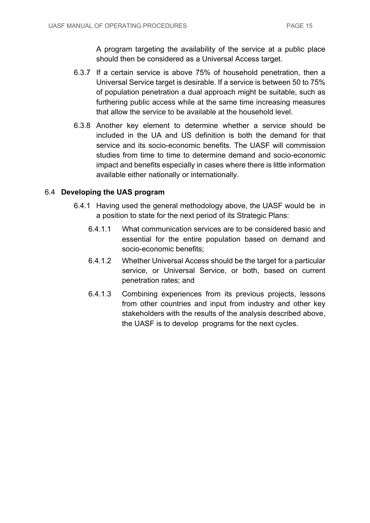A program targeting the availability of the service at a public place should then be considered as a Universal Access target.

- 6.3.7 If a certain service is above 75% of household penetration, then a Universal Service target is desirable. If a service is between 50 to 75% of population penetration a dual approach might be suitable, such as furthering public access while at the same time increasing measures that allow the service to be available at the household level.
- 6.3.8 Another key element to determine whether a service should be included in the UA and US definition is both the demand for that service and its socio-economic benefits. The UASF will commission studies from time to time to determine demand and socio-economic impact and benefits especially in cases where there is little information available either nationally or internationally.

#### 6.4 **Developing the UAS program**

- 6.4.1 Having used the general methodology above, the UASF would be in a position to state for the next period of its Strategic Plans:
	- 6.4.1.1 What communication services are to be considered basic and essential for the entire population based on demand and socio-economic benefits;
	- 6.4.1.2 Whether Universal Access should be the target for a particular service, or Universal Service, or both, based on current penetration rates; and
	- 6.4.1.3 Combining experiences from its previous projects, lessons from other countries and input from industry and other key stakeholders with the results of the analysis described above, the UASF is to develop programs for the next cycles.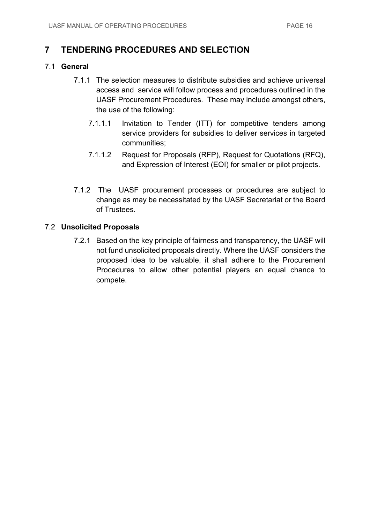## **7 TENDERING PROCEDURES AND SELECTION**

#### 7.1 **General**

- 7.1.1 The selection measures to distribute subsidies and achieve universal access and service will follow process and procedures outlined in the UASF Procurement Procedures. These may include amongst others, the use of the following:
	- 7.1.1.1 Invitation to Tender (ITT) for competitive tenders among service providers for subsidies to deliver services in targeted communities;
	- 7.1.1.2 Request for Proposals (RFP), Request for Quotations (RFQ), and Expression of Interest (EOI) for smaller or pilot projects.
- 7.1.2 The UASF procurement processes or procedures are subject to change as may be necessitated by the UASF Secretariat or the Board of Trustees.

#### 7.2 **Unsolicited Proposals**

7.2.1 Based on the key principle of fairness and transparency, the UASF will not fund unsolicited proposals directly. Where the UASF considers the proposed idea to be valuable, it shall adhere to the Procurement Procedures to allow other potential players an equal chance to compete.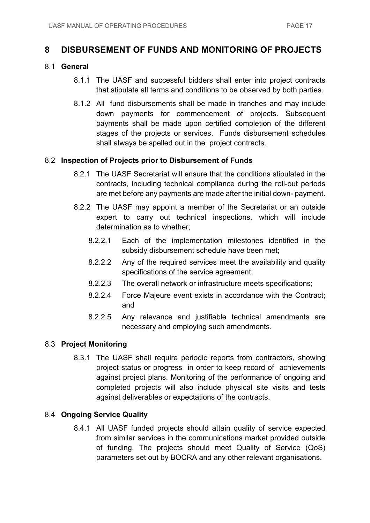## **8 DISBURSEMENT OF FUNDS AND MONITORING OF PROJECTS**

#### 8.1 **General**

- 8.1.1 The UASF and successful bidders shall enter into project contracts that stipulate all terms and conditions to be observed by both parties.
- 8.1.2 All fund disbursements shall be made in tranches and may include down payments for commencement of projects. Subsequent payments shall be made upon certified completion of the different stages of the projects or services. Funds disbursement schedules shall always be spelled out in the project contracts.

#### 8.2 **Inspection of Projects prior to Disbursement of Funds**

- 8.2.1 The UASF Secretariat will ensure that the conditions stipulated in the contracts, including technical compliance during the roll-out periods are met before any payments are made after the initial down- payment.
- 8.2.2 The UASF may appoint a member of the Secretariat or an outside expert to carry out technical inspections, which will include determination as to whether;
	- 8.2.2.1 Each of the implementation milestones identified in the subsidy disbursement schedule have been met;
	- 8.2.2.2 Any of the required services meet the availability and quality specifications of the service agreement;
	- 8.2.2.3 The overall network or infrastructure meets specifications;
	- 8.2.2.4 Force Majeure event exists in accordance with the Contract; and
	- 8.2.2.5 Any relevance and justifiable technical amendments are necessary and employing such amendments.

#### 8.3 **Project Monitoring**

8.3.1 The UASF shall require periodic reports from contractors, showing project status or progress in order to keep record of achievements against project plans. Monitoring of the performance of ongoing and completed projects will also include physical site visits and tests against deliverables or expectations of the contracts.

#### 8.4 **Ongoing Service Quality**

8.4.1 All UASF funded projects should attain quality of service expected from similar services in the communications market provided outside of funding. The projects should meet Quality of Service (QoS) parameters set out by BOCRA and any other relevant organisations.